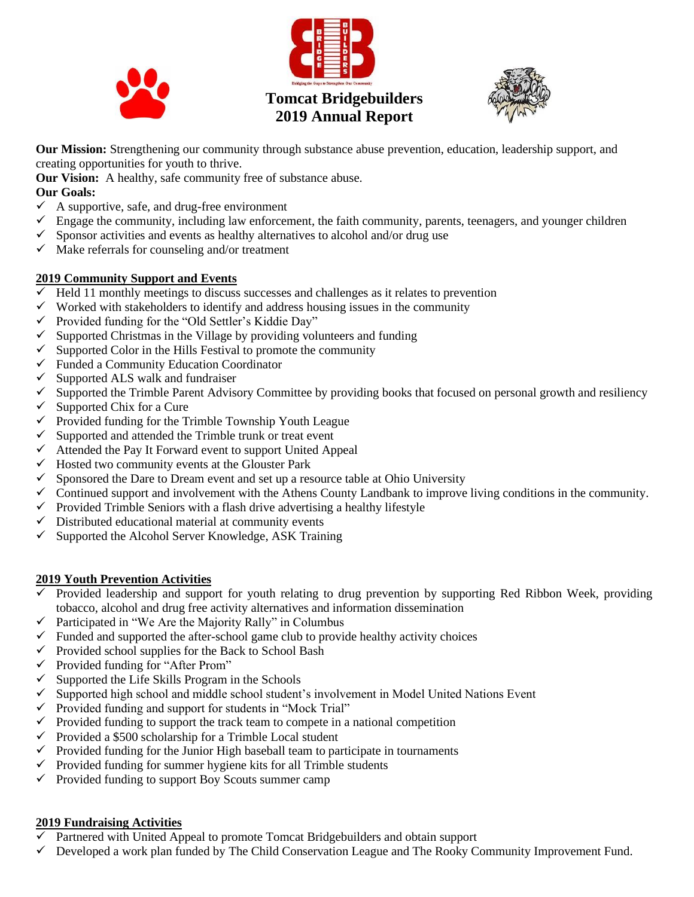





**Our Mission:** Strengthening our community through substance abuse prevention, education, leadership support, and creating opportunities for youth to thrive.

**Our Vision:** A healthy, safe community free of substance abuse.

#### **Our Goals:**

- $\checkmark$  A supportive, safe, and drug-free environment
- $\checkmark$  Engage the community, including law enforcement, the faith community, parents, teenagers, and younger children
- $\checkmark$  Sponsor activities and events as healthy alternatives to alcohol and/or drug use
- $\checkmark$  Make referrals for counseling and/or treatment

## **2019 Community Support and Events**

- $\overline{\smash{\checkmark}}$  Held 11 monthly meetings to discuss successes and challenges as it relates to prevention
- $\checkmark$  Worked with stakeholders to identify and address housing issues in the community
- ✓ Provided funding for the "Old Settler's Kiddie Day"
- $\checkmark$  Supported Christmas in the Village by providing volunteers and funding
- $\checkmark$  Supported Color in the Hills Festival to promote the community
- ✓ Funded a Community Education Coordinator
- $\checkmark$  Supported ALS walk and fundraiser
- $\checkmark$  Supported the Trimble Parent Advisory Committee by providing books that focused on personal growth and resiliency
- $\checkmark$  Supported Chix for a Cure
- $\checkmark$  Provided funding for the Trimble Township Youth League
- $\checkmark$  Supported and attended the Trimble trunk or treat event
- $\checkmark$  Attended the Pay It Forward event to support United Appeal
- $\checkmark$  Hosted two community events at the Glouster Park
- $\checkmark$  Sponsored the Dare to Dream event and set up a resource table at Ohio University
- $\checkmark$  Continued support and involvement with the Athens County Landbank to improve living conditions in the community.
- $\checkmark$  Provided Trimble Seniors with a flash drive advertising a healthy lifestyle
- $\checkmark$  Distributed educational material at community events
- ✓ Supported the Alcohol Server Knowledge, ASK Training

## **2019 Youth Prevention Activities**

- $\checkmark$  Provided leadership and support for youth relating to drug prevention by supporting Red Ribbon Week, providing tobacco, alcohol and drug free activity alternatives and information dissemination
- $\checkmark$  Participated in "We Are the Majority Rally" in Columbus
- $\checkmark$  Funded and supported the after-school game club to provide healthy activity choices
- $\checkmark$  Provided school supplies for the Back to School Bash
- ✓ Provided funding for "After Prom"
- $\checkmark$  Supported the Life Skills Program in the Schools
- ✓ Supported high school and middle school student's involvement in Model United Nations Event
- $\checkmark$  Provided funding and support for students in "Mock Trial"
- $\checkmark$  Provided funding to support the track team to compete in a national competition
- $\checkmark$  Provided a \$500 scholarship for a Trimble Local student
- $\checkmark$  Provided funding for the Junior High baseball team to participate in tournaments
- $\checkmark$  Provided funding for summer hygiene kits for all Trimble students
- $\checkmark$  Provided funding to support Boy Scouts summer camp

## **2019 Fundraising Activities**

- ✓ Partnered with United Appeal to promote Tomcat Bridgebuilders and obtain support
- $\checkmark$  Developed a work plan funded by The Child Conservation League and The Rooky Community Improvement Fund.